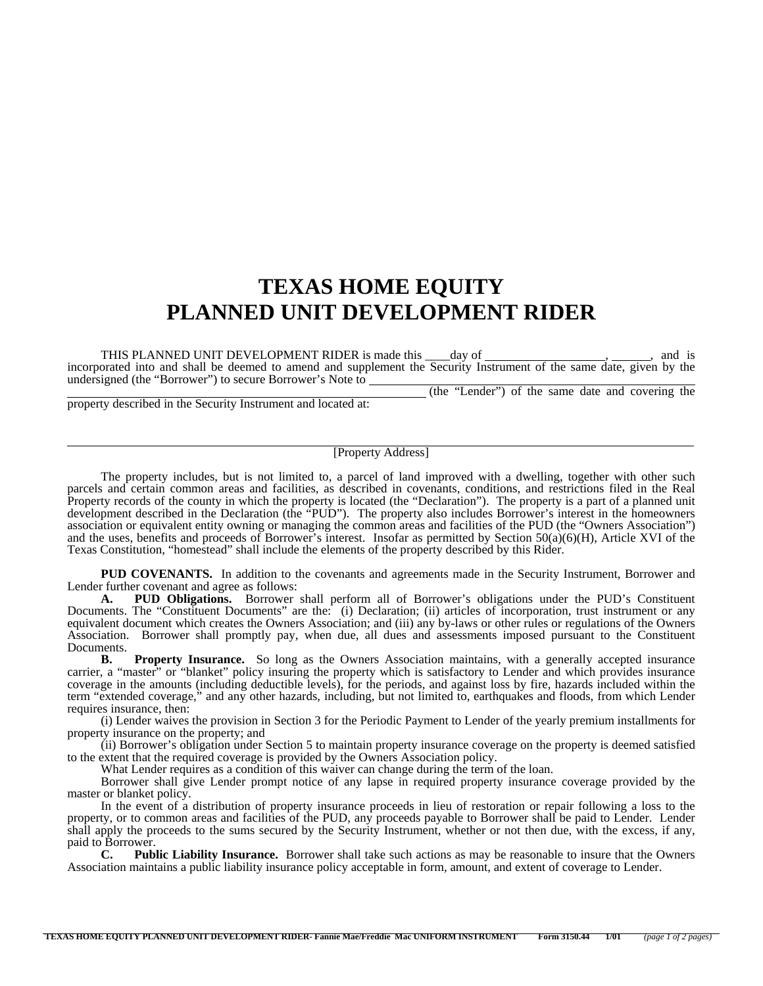## **TEXAS HOME EQUITY PLANNED UNIT DEVELOPMENT RIDER**

THIS PLANNED UNIT DEVELOPMENT RIDER is made this \_\_\_day of \_\_\_\_\_\_\_\_\_\_\_\_\_\_\_\_\_\_\_\_\_, and is incorporated into and shall be deemed to amend and supplement the Security Instrument of the same date, given by the undersigned (the "Borrower") to secure Borrower's Note to (the "Lender") of the same date and covering the

property described in the Security Instrument and located at:

## [Property Address]

The property includes, but is not limited to, a parcel of land improved with a dwelling, together with other such parcels and certain common areas and facilities, as described in covenants, conditions, and restrictions filed in the Real Property records of the county in which the property is located (the "Declaration"). The property is a part of a planned unit development described in the Declaration (the "PUD"). The property also includes Borrower's interest in the homeowners association or equivalent entity owning or managing the common areas and facilities of the PUD (the "Owners Association") and the uses, benefits and proceeds of Borrower's interest. Insofar as permitted by Section  $50(a)(6)(H)$ , Article XVI of the Texas Constitution, "homestead" shall include the elements of the property described by this Rider.

**PUD COVENANTS.** In addition to the covenants and agreements made in the Security Instrument, Borrower and Lender further covenant and agree as follows:

 **A. PUD Obligations.** Borrower shall perform all of Borrower's obligations under the PUD's Constituent Documents. The "Constituent Documents" are the: (i) Declaration; (ii) articles of incorporation, trust instrument or any equivalent document which creates the Owners Association; and (iii) any by-laws or other rules or regulations of the Owners Association. Borrower shall promptly pay, when due, all dues and assessments imposed pursuant to the Constituent Documents.

**B.** Property Insurance. So long as the Owners Association maintains, with a generally accepted insurance carrier, a "master" or "blanket" policy insuring the property which is satisfactory to Lender and which provides insurance coverage in the amounts (including deductible levels), for the periods, and against loss by fire, hazards included within the term "extended coverage," and any other hazards, including, but not limited to, earthquakes and floods, from which Lender requires insurance, then:

(i) Lender waives the provision in Section 3 for the Periodic Payment to Lender of the yearly premium installments for property insurance on the property; and

(ii) Borrower's obligation under Section 5 to maintain property insurance coverage on the property is deemed satisfied to the extent that the required coverage is provided by the Owners Association policy.

What Lender requires as a condition of this waiver can change during the term of the loan.

Borrower shall give Lender prompt notice of any lapse in required property insurance coverage provided by the master or blanket policy.

In the event of a distribution of property insurance proceeds in lieu of restoration or repair following a loss to the property, or to common areas and facilities of the PUD, any proceeds payable to Borrower shall be paid to Lender. Lender shall apply the proceeds to the sums secured by the Security Instrument, whether or not then due, with the excess, if any, paid to Borrower.<br> **C.** Publ

**Public Liability Insurance.** Borrower shall take such actions as may be reasonable to insure that the Owners Association maintains a public liability insurance policy acceptable in form, amount, and extent of coverage to Lender.